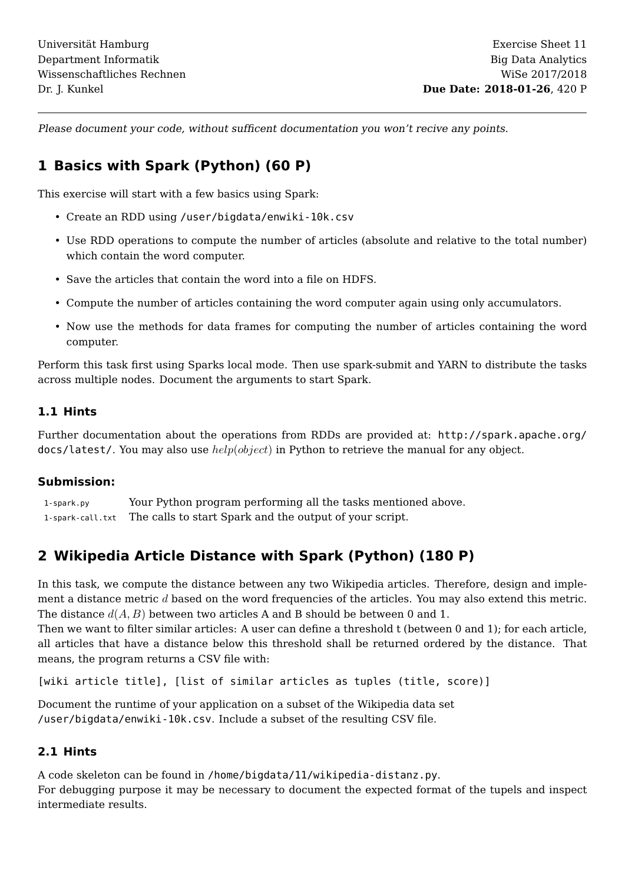Please document your code, without sufficent documentation you won't recive any points.

# **1 Basics with Spark (Python) (60 P)**

This exercise will start with a few basics using Spark:

- Create an RDD using /user/bigdata/enwiki-10k.csv
- Use RDD operations to compute the number of articles (absolute and relative to the total number) which contain the word computer.
- Save the articles that contain the word into a file on HDFS.
- Compute the number of articles containing the word computer again using only accumulators.
- Now use the methods for data frames for computing the number of articles containing the word computer.

Perform this task first using Sparks local mode. Then use spark-submit and YARN to distribute the tasks across multiple nodes. Document the arguments to start Spark.

#### **1.1 Hints**

Further documentation about the operations from RDDs are provided at: [http://spark.apache.org/](http://spark.apache.org/docs/latest/)  $docs/latest/$ . You may also use  $help(object)$  in Python to retrieve the manual for any object.

#### **Submission:**

1-spark.py Your Python program performing all the tasks mentioned above. 1-spark-call.txt The calls to start Spark and the output of your script.

## **2 Wikipedia Article Distance with Spark (Python) (180 P)**

In this task, we compute the distance between any two Wikipedia articles. Therefore, design and implement a distance metric d based on the word frequencies of the articles. You may also extend this metric. The distance  $d(A, B)$  between two articles A and B should be between 0 and 1.

Then we want to filter similar articles: A user can define a threshold t (between 0 and 1); for each article, all articles that have a distance below this threshold shall be returned ordered by the distance. That means, the program returns a CSV file with:

[wiki article title], [list of similar articles as tuples (title, score)]

Document the runtime of your application on a subset of the Wikipedia data set /user/bigdata/enwiki-10k.csv. Include a subset of the resulting CSV file.

## **2.1 Hints**

A code skeleton can be found in /home/bigdata/11/wikipedia-distanz.py.

For debugging purpose it may be necessary to document the expected format of the tupels and inspect intermediate results.